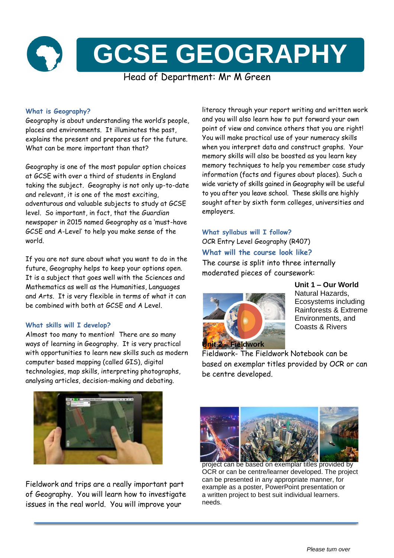

# **What is Geography?**

Geography is about understanding the world's people, places and environments. It illuminates the past, explains the present and prepares us for the future. What can be more important than that?

Geography is one of the most popular option choices at GCSE with over a third of students in England taking the subject. Geography is not only up-to-date and relevant, it is one of the most exciting, adventurous and valuable subjects to study at GCSE level. So important, in fact, that the *Guardian*  newspaper in 2015 named Geography as a 'must-have GCSE and A-Level' to help you make sense of the world.

If you are not sure about what you want to do in the future, Geography helps to keep your options open. It is a subject that goes well with the Sciences and Mathematics as well as the Humanities, Languages and Arts. It is very flexible in terms of what it can be combined with both at GCSE and A Level.

## **What skills will I develop?**

Almost too many to mention! There are so many ways of learning in Geography. It is very practical with opportunities to learn new skills such as modern computer based mapping (called GIS), digital technologies, map skills, interpreting photographs, analysing articles, decision-making and debating.

literacy through your report writing and written work and you will also learn how to put forward your own point of view and convince others that you are right! You will make practical use of your numeracy skills when you interpret data and construct graphs. Your memory skills will also be boosted as you learn key memory techniques to help you remember case study information (facts and figures about places). Such a wide variety of skills gained in Geography will be useful to you after you leave school. These skills are highly sought after by sixth form colleges, universities and employers.

**What syllabus will I follow?** OCR Entry Level Geography (R407) **What will the course look like?** The course is split into three internally moderated pieces of coursework:



**Unit 1 – Our World** Natural Hazards, Ecosystems including Rainforests & Extreme Environments, and Coasts & Rivers

Fieldwork- The Fieldwork Notebook can be based on exemplar titles provided by OCR or can be centre developed.



Fieldwork and trips are a really important part of Geography. You will learn how to investigate issues in the real world. You will improve your



project can be based on exemplar titles provided by OCR or can be centre/learner developed. The project can be presented in any appropriate manner, for example as a poster, PowerPoint presentation or a written project to best suit individual learners. needs.